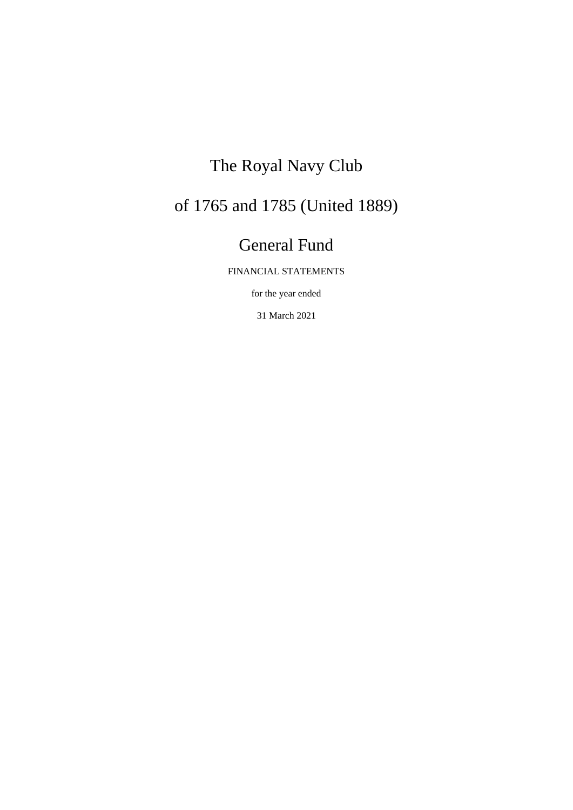# The Royal Navy Club

# of 1765 and 1785 (United 1889)

# General Fund

FINANCIAL STATEMENTS

for the year ended

31 March 2021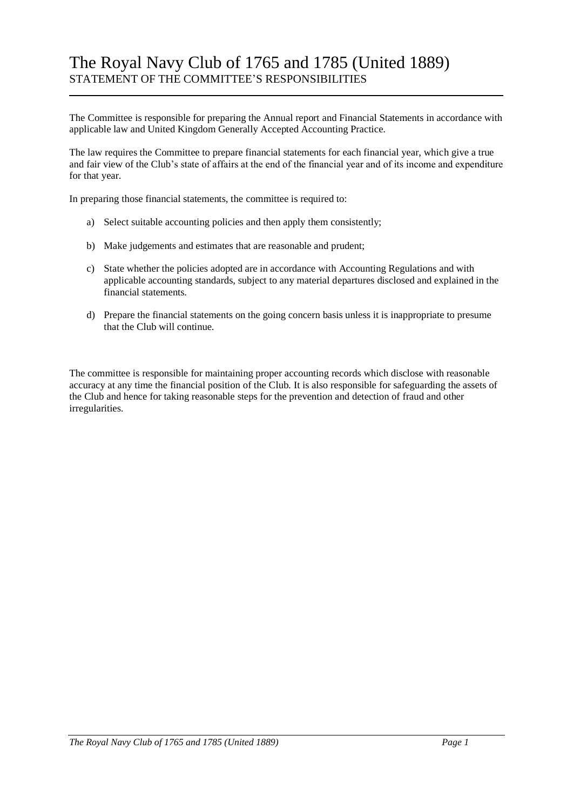## The Royal Navy Club of 1765 and 1785 (United 1889) STATEMENT OF THE COMMITTEE'S RESPONSIBILITIES

The Committee is responsible for preparing the Annual report and Financial Statements in accordance with applicable law and United Kingdom Generally Accepted Accounting Practice.

The law requires the Committee to prepare financial statements for each financial year, which give a true and fair view of the Club's state of affairs at the end of the financial year and of its income and expenditure for that year.

In preparing those financial statements, the committee is required to:

- a) Select suitable accounting policies and then apply them consistently;
- b) Make judgements and estimates that are reasonable and prudent;
- c) State whether the policies adopted are in accordance with Accounting Regulations and with applicable accounting standards, subject to any material departures disclosed and explained in the financial statements.
- d) Prepare the financial statements on the going concern basis unless it is inappropriate to presume that the Club will continue.

The committee is responsible for maintaining proper accounting records which disclose with reasonable accuracy at any time the financial position of the Club. It is also responsible for safeguarding the assets of the Club and hence for taking reasonable steps for the prevention and detection of fraud and other irregularities.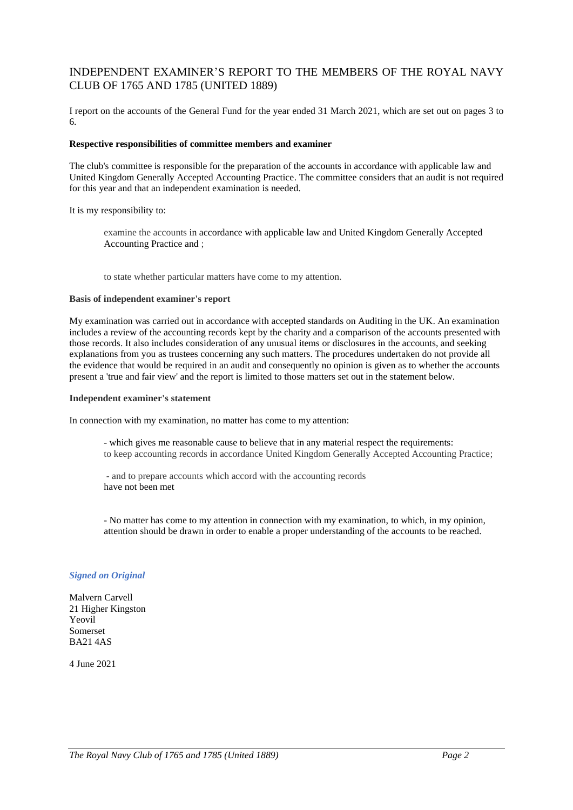### INDEPENDENT EXAMINER'S REPORT TO THE MEMBERS OF THE ROYAL NAVY CLUB OF 1765 AND 1785 (UNITED 1889)

I report on the accounts of the General Fund for the year ended 31 March 2021, which are set out on pages 3 to 6.

### **Respective responsibilities of committee members and examiner**

The club's committee is responsible for the preparation of the accounts in accordance with applicable law and United Kingdom Generally Accepted Accounting Practice. The committee considers that an audit is not required for this year and that an independent examination is needed.

It is my responsibility to:

examine the accounts in accordance with applicable law and United Kingdom Generally Accepted Accounting Practice and ;

to state whether particular matters have come to my attention.

#### **Basis of independent examiner's report**

My examination was carried out in accordance with accepted standards on Auditing in the UK. An examination includes a review of the accounting records kept by the charity and a comparison of the accounts presented with those records. It also includes consideration of any unusual items or disclosures in the accounts, and seeking explanations from you as trustees concerning any such matters. The procedures undertaken do not provide all the evidence that would be required in an audit and consequently no opinion is given as to whether the accounts present a 'true and fair view' and the report is limited to those matters set out in the statement below.

### **Independent examiner's statement**

In connection with my examination, no matter has come to my attention:

- which gives me reasonable cause to believe that in any material respect the requirements: to keep accounting records in accordance United Kingdom Generally Accepted Accounting Practice;

- and to prepare accounts which accord with the accounting records have not been met

- No matter has come to my attention in connection with my examination, to which, in my opinion, attention should be drawn in order to enable a proper understanding of the accounts to be reached.

### *Signed on Original*

Malvern Carvell 21 Higher Kingston Yeovil Somerset BA21 4AS

4 June 2021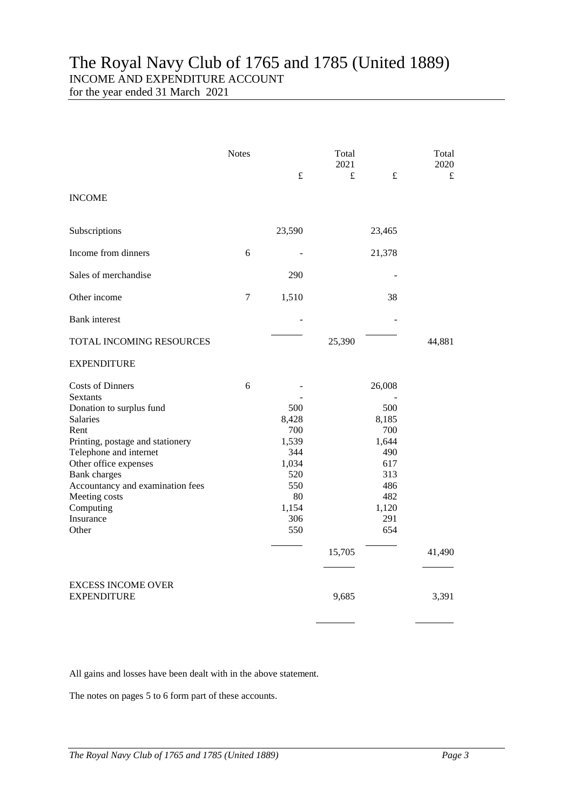## The Royal Navy Club of 1765 and 1785 (United 1889) INCOME AND EXPENDITURE ACCOUNT

for the year ended 31 March 2021

|                                                                                                                                                                                                                                                                                           | <b>Notes</b>   | $\pounds$                                                                               | Total<br>2021<br>$\pounds$ | $\pounds$                                                                                        | Total<br>2020<br>£ |
|-------------------------------------------------------------------------------------------------------------------------------------------------------------------------------------------------------------------------------------------------------------------------------------------|----------------|-----------------------------------------------------------------------------------------|----------------------------|--------------------------------------------------------------------------------------------------|--------------------|
| <b>INCOME</b>                                                                                                                                                                                                                                                                             |                |                                                                                         |                            |                                                                                                  |                    |
| Subscriptions                                                                                                                                                                                                                                                                             |                | 23,590                                                                                  |                            | 23,465                                                                                           |                    |
| Income from dinners                                                                                                                                                                                                                                                                       | 6              |                                                                                         |                            | 21,378                                                                                           |                    |
| Sales of merchandise                                                                                                                                                                                                                                                                      |                | 290                                                                                     |                            |                                                                                                  |                    |
| Other income                                                                                                                                                                                                                                                                              | $\overline{7}$ | 1,510                                                                                   |                            | 38                                                                                               |                    |
| <b>Bank</b> interest                                                                                                                                                                                                                                                                      |                |                                                                                         |                            |                                                                                                  |                    |
| TOTAL INCOMING RESOURCES                                                                                                                                                                                                                                                                  |                |                                                                                         | 25,390                     |                                                                                                  | 44,881             |
| <b>EXPENDITURE</b>                                                                                                                                                                                                                                                                        |                |                                                                                         |                            |                                                                                                  |                    |
| <b>Costs of Dinners</b><br>Sextants<br>Donation to surplus fund<br>Salaries<br>Rent<br>Printing, postage and stationery<br>Telephone and internet<br>Other office expenses<br><b>Bank</b> charges<br>Accountancy and examination fees<br>Meeting costs<br>Computing<br>Insurance<br>Other | 6              | 500<br>8,428<br>700<br>1,539<br>344<br>1,034<br>520<br>550<br>80<br>1,154<br>306<br>550 | 15,705                     | 26,008<br>500<br>8,185<br>700<br>1,644<br>490<br>617<br>313<br>486<br>482<br>1,120<br>291<br>654 | 41,490             |
| <b>EXCESS INCOME OVER</b><br><b>EXPENDITURE</b>                                                                                                                                                                                                                                           |                |                                                                                         | 9,685                      |                                                                                                  | 3,391              |
|                                                                                                                                                                                                                                                                                           |                |                                                                                         |                            |                                                                                                  |                    |

 $\overline{a}$ 

All gains and losses have been dealt with in the above statement.

The notes on pages 5 to 6 form part of these accounts.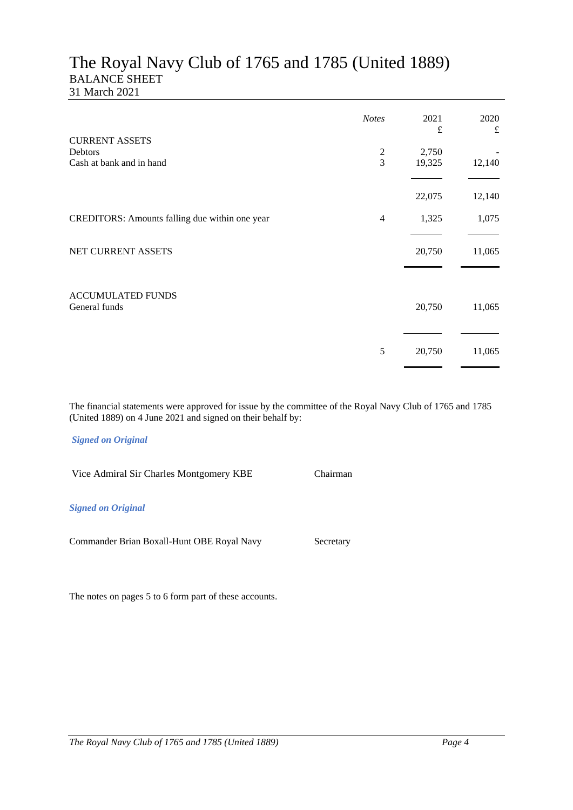### The Royal Navy Club of 1765 and 1785 (United 1889) BALANCE SHEET 31 March 2021

|                                                | <b>Notes</b>   | 2021<br>$\pounds$ | 2020<br>$\pounds$ |
|------------------------------------------------|----------------|-------------------|-------------------|
| <b>CURRENT ASSETS</b><br>Debtors               | $\overline{c}$ | 2,750             |                   |
| Cash at bank and in hand                       | 3              | 19,325            | 12,140            |
|                                                |                | 22,075            | 12,140            |
| CREDITORS: Amounts falling due within one year | $\overline{4}$ | 1,325             | 1,075             |
| NET CURRENT ASSETS                             |                | 20,750            | 11,065            |
| <b>ACCUMULATED FUNDS</b><br>General funds      |                | 20,750            | 11,065            |
|                                                | 5              | 20,750            | 11,065            |

The financial statements were approved for issue by the committee of the Royal Navy Club of 1765 and 1785 (United 1889) on 4 June 2021 and signed on their behalf by:

### *Signed on Original*

Vice Admiral Sir Charles Montgomery KBE Chairman *Signed on Original* Commander Brian Boxall-Hunt OBE Royal Navy Secretary

The notes on pages 5 to 6 form part of these accounts.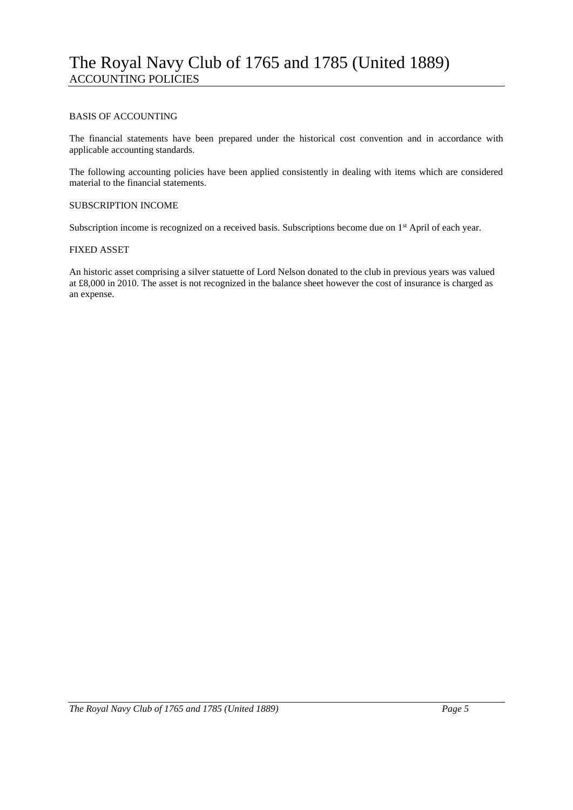### BASIS OF ACCOUNTING

The financial statements have been prepared under the historical cost convention and in accordance with applicable accounting standards.

The following accounting policies have been applied consistently in dealing with items which are considered material to the financial statements.

### SUBSCRIPTION INCOME

Subscription income is recognized on a received basis. Subscriptions become due on 1<sup>st</sup> April of each year.

### FIXED ASSET

An historic asset comprising a silver statuette of Lord Nelson donated to the club in previous years was valued at £8,000 in 2010. The asset is not recognized in the balance sheet however the cost of insurance is charged as an expense.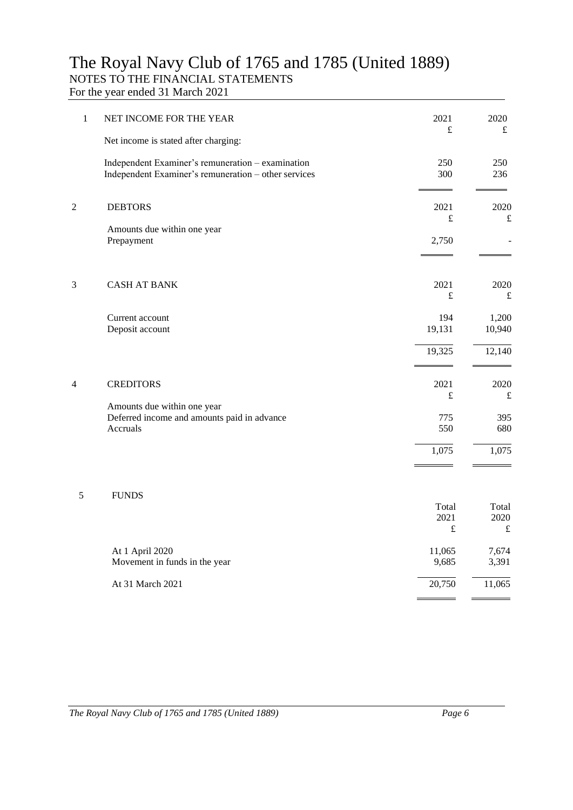### The Royal Navy Club of 1765 and 1785 (United 1889) NOTES TO THE FINANCIAL STATEMENTS

For the year ended 31 March 2021

| 1              | NET INCOME FOR THE YEAR                                                                                   | 2021<br>$\pounds$          | 2020<br>$\pounds$          |  |
|----------------|-----------------------------------------------------------------------------------------------------------|----------------------------|----------------------------|--|
|                | Net income is stated after charging:                                                                      |                            |                            |  |
|                | Independent Examiner's remuneration - examination<br>Independent Examiner's remuneration - other services | 250<br>300                 | 250<br>236                 |  |
| $\overline{c}$ | <b>DEBTORS</b>                                                                                            | 2021<br>$\pounds$          | 2020<br>£                  |  |
|                | Amounts due within one year<br>Prepayment                                                                 | 2,750                      |                            |  |
|                |                                                                                                           |                            |                            |  |
| 3              | <b>CASH AT BANK</b>                                                                                       | 2021<br>$\pounds$          | 2020<br>$\pounds$          |  |
|                | Current account<br>Deposit account                                                                        | 194<br>19,131              | 1,200<br>10,940            |  |
|                |                                                                                                           | 19,325                     | 12,140                     |  |
| $\overline{4}$ | <b>CREDITORS</b>                                                                                          | 2021<br>$\pounds$          | 2020<br>$\pounds$          |  |
|                | Amounts due within one year<br>Deferred income and amounts paid in advance<br>Accruals                    | 775<br>550                 | 395<br>680                 |  |
|                |                                                                                                           | 1,075                      | 1,075                      |  |
| 5              | <b>FUNDS</b>                                                                                              |                            |                            |  |
|                |                                                                                                           | Total<br>2021<br>$\pounds$ | Total<br>2020<br>$\pounds$ |  |
|                | At 1 April 2020<br>Movement in funds in the year                                                          | 11,065<br>9,685            | 7,674<br>3,391             |  |
|                | At 31 March 2021                                                                                          | 20,750                     | 11,065                     |  |
|                |                                                                                                           |                            |                            |  |